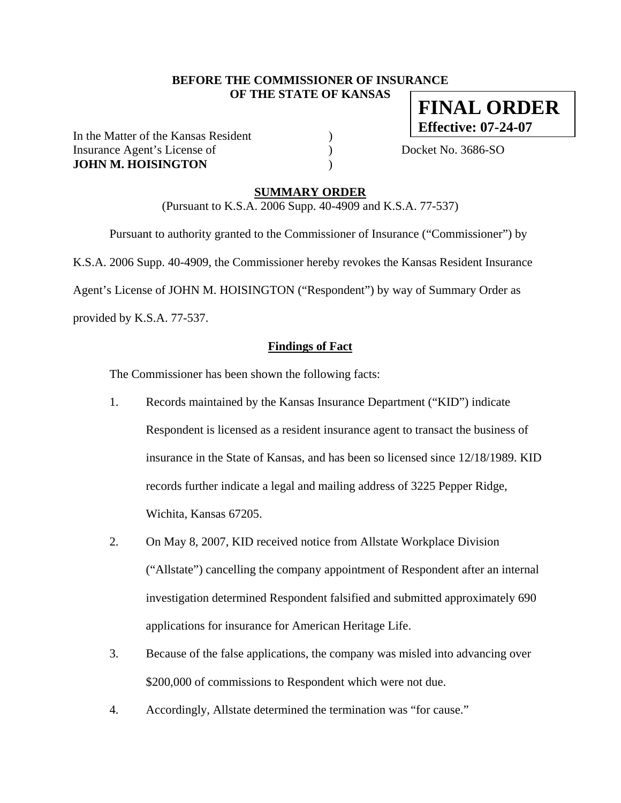### **BEFORE THE COMMISSIONER OF INSURANCE OF THE STATE OF KANSAS**

In the Matter of the Kansas Resident (1) Insurance Agent's License of  $Docket No. 3686-SO$ **JOHN M. HOISINGTON** )

**FINAL ORDER Effective: 07-24-07**

**SUMMARY ORDER**

(Pursuant to K.S.A. 2006 Supp. 40-4909 and K.S.A. 77-537)

 Pursuant to authority granted to the Commissioner of Insurance ("Commissioner") by K.S.A. 2006 Supp. 40-4909, the Commissioner hereby revokes the Kansas Resident Insurance Agent's License of JOHN M. HOISINGTON ("Respondent") by way of Summary Order as provided by K.S.A. 77-537.

### **Findings of Fact**

The Commissioner has been shown the following facts:

- 1. Records maintained by the Kansas Insurance Department ("KID") indicate Respondent is licensed as a resident insurance agent to transact the business of insurance in the State of Kansas, and has been so licensed since 12/18/1989. KID records further indicate a legal and mailing address of 3225 Pepper Ridge, Wichita, Kansas 67205.
- 2. On May 8, 2007, KID received notice from Allstate Workplace Division ("Allstate") cancelling the company appointment of Respondent after an internal investigation determined Respondent falsified and submitted approximately 690 applications for insurance for American Heritage Life.
- 3. Because of the false applications, the company was misled into advancing over \$200,000 of commissions to Respondent which were not due.
- 4. Accordingly, Allstate determined the termination was "for cause."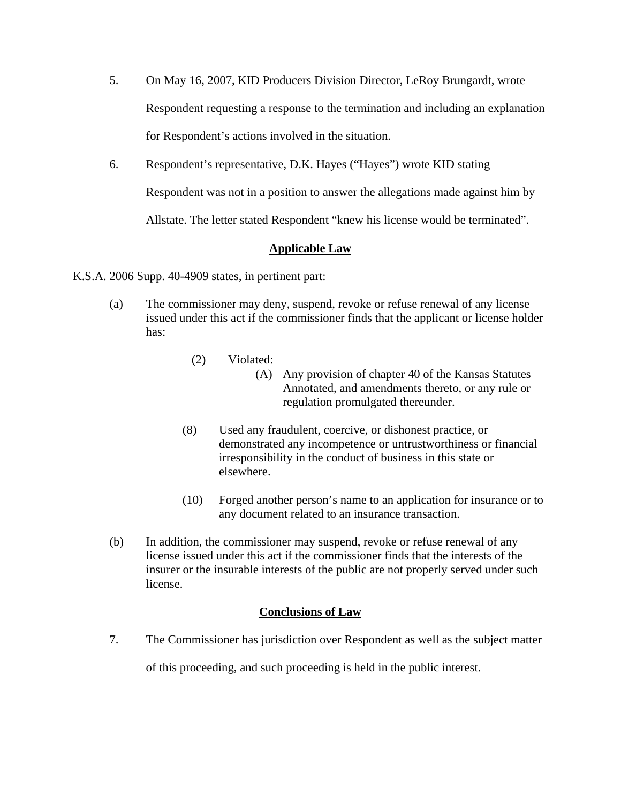- 5. On May 16, 2007, KID Producers Division Director, LeRoy Brungardt, wrote Respondent requesting a response to the termination and including an explanation for Respondent's actions involved in the situation.
- 6. Respondent's representative, D.K. Hayes ("Hayes") wrote KID stating

Respondent was not in a position to answer the allegations made against him by

Allstate. The letter stated Respondent "knew his license would be terminated".

# **Applicable Law**

K.S.A. 2006 Supp. 40-4909 states, in pertinent part:

- (a) The commissioner may deny, suspend, revoke or refuse renewal of any license issued under this act if the commissioner finds that the applicant or license holder has:
	- (2) Violated:
		- (A) Any provision of chapter 40 of the Kansas Statutes Annotated, and amendments thereto, or any rule or regulation promulgated thereunder.
	- (8) Used any fraudulent, coercive, or dishonest practice, or demonstrated any incompetence or untrustworthiness or financial irresponsibility in the conduct of business in this state or elsewhere.
	- (10) Forged another person's name to an application for insurance or to any document related to an insurance transaction.
- (b) In addition, the commissioner may suspend, revoke or refuse renewal of any license issued under this act if the commissioner finds that the interests of the insurer or the insurable interests of the public are not properly served under such license.

# **Conclusions of Law**

7. The Commissioner has jurisdiction over Respondent as well as the subject matter of this proceeding, and such proceeding is held in the public interest.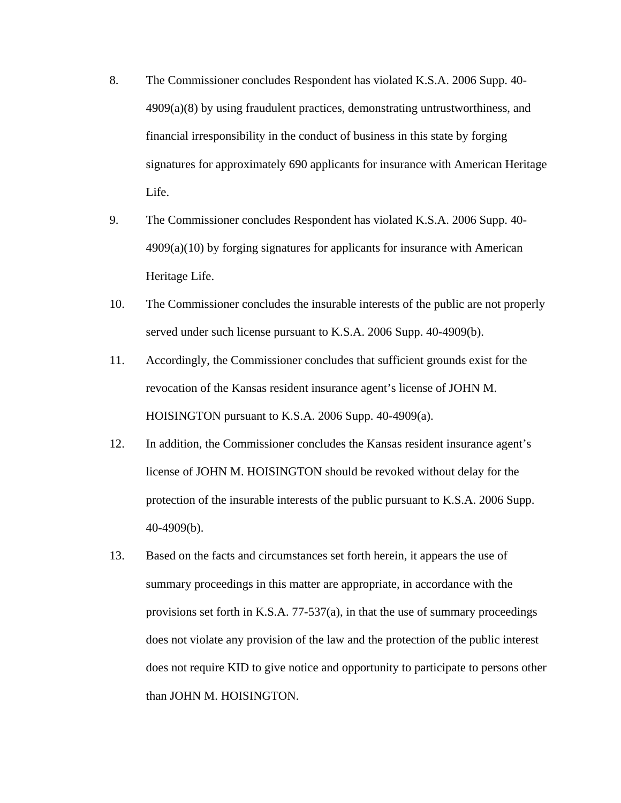- 8. The Commissioner concludes Respondent has violated K.S.A. 2006 Supp. 40- 4909(a)(8) by using fraudulent practices, demonstrating untrustworthiness, and financial irresponsibility in the conduct of business in this state by forging signatures for approximately 690 applicants for insurance with American Heritage Life.
- 9. The Commissioner concludes Respondent has violated K.S.A. 2006 Supp. 40- 4909(a)(10) by forging signatures for applicants for insurance with American Heritage Life.
- 10. The Commissioner concludes the insurable interests of the public are not properly served under such license pursuant to K.S.A. 2006 Supp. 40-4909(b).
- 11. Accordingly, the Commissioner concludes that sufficient grounds exist for the revocation of the Kansas resident insurance agent's license of JOHN M. HOISINGTON pursuant to K.S.A. 2006 Supp. 40-4909(a).
- 12. In addition, the Commissioner concludes the Kansas resident insurance agent's license of JOHN M. HOISINGTON should be revoked without delay for the protection of the insurable interests of the public pursuant to K.S.A. 2006 Supp. 40-4909(b).
- 13. Based on the facts and circumstances set forth herein, it appears the use of summary proceedings in this matter are appropriate, in accordance with the provisions set forth in K.S.A. 77-537(a), in that the use of summary proceedings does not violate any provision of the law and the protection of the public interest does not require KID to give notice and opportunity to participate to persons other than JOHN M. HOISINGTON.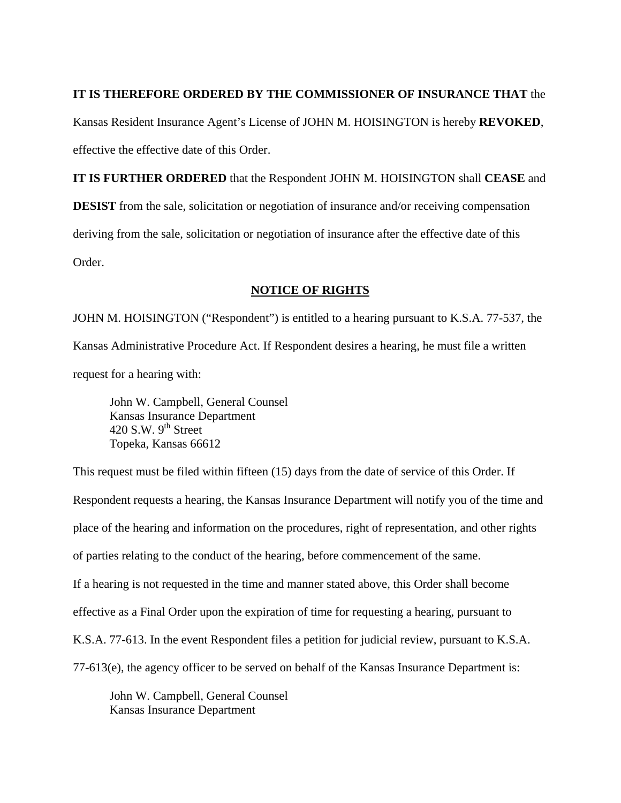### **IT IS THEREFORE ORDERED BY THE COMMISSIONER OF INSURANCE THAT** the

Kansas Resident Insurance Agent's License of JOHN M. HOISINGTON is hereby **REVOKED**, effective the effective date of this Order.

**IT IS FURTHER ORDERED** that the Respondent JOHN M. HOISINGTON shall **CEASE** and **DESIST** from the sale, solicitation or negotiation of insurance and/or receiving compensation deriving from the sale, solicitation or negotiation of insurance after the effective date of this Order.

### **NOTICE OF RIGHTS**

JOHN M. HOISINGTON ("Respondent") is entitled to a hearing pursuant to K.S.A. 77-537, the Kansas Administrative Procedure Act. If Respondent desires a hearing, he must file a written request for a hearing with:

 John W. Campbell, General Counsel Kansas Insurance Department 420 S.W.  $9<sup>th</sup>$  Street Topeka, Kansas 66612

This request must be filed within fifteen (15) days from the date of service of this Order. If Respondent requests a hearing, the Kansas Insurance Department will notify you of the time and place of the hearing and information on the procedures, right of representation, and other rights of parties relating to the conduct of the hearing, before commencement of the same. If a hearing is not requested in the time and manner stated above, this Order shall become effective as a Final Order upon the expiration of time for requesting a hearing, pursuant to K.S.A. 77-613. In the event Respondent files a petition for judicial review, pursuant to K.S.A. 77-613(e), the agency officer to be served on behalf of the Kansas Insurance Department is:

 John W. Campbell, General Counsel Kansas Insurance Department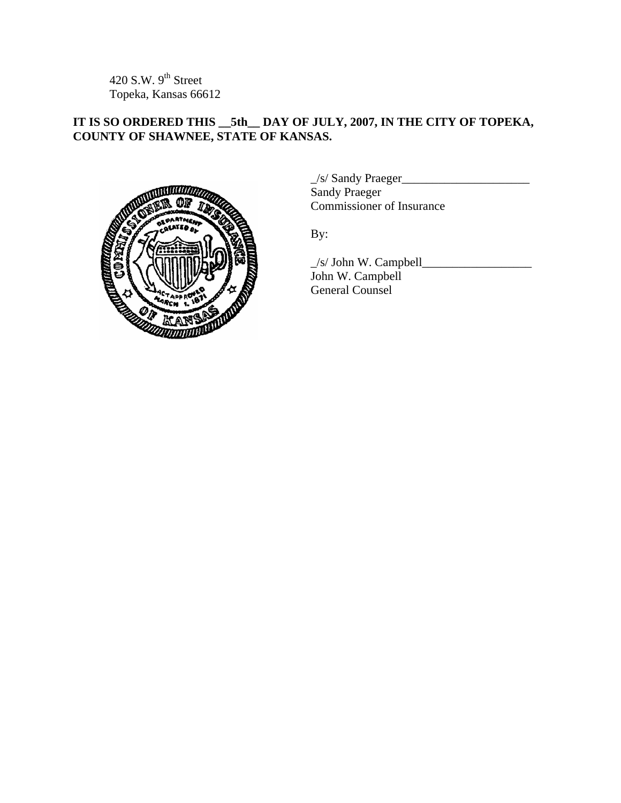420 S.W.  $9<sup>th</sup>$  Street Topeka, Kansas 66612

# **IT IS SO ORDERED THIS \_\_5th\_\_ DAY OF JULY, 2007, IN THE CITY OF TOPEKA, COUNTY OF SHAWNEE, STATE OF KANSAS.**



\_/s/ Sandy Praeger\_\_\_\_\_\_\_\_\_\_\_\_\_\_\_\_\_\_\_\_\_ Sandy Praeger Commissioner of Insurance

By:

 $\angle$ s/ John W. Campbell $\angle$ John W. Campbell General Counsel